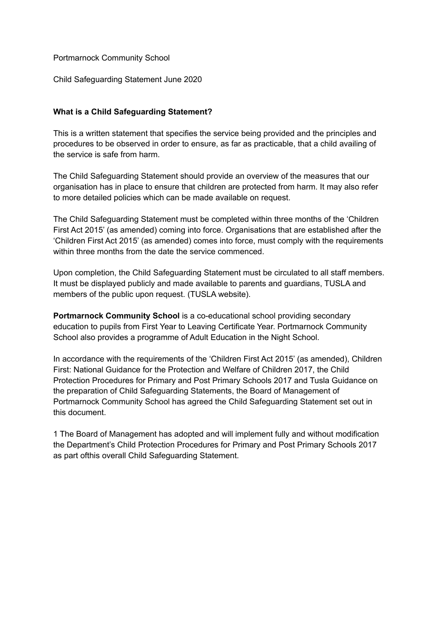Portmarnock Community School

Child Safeguarding Statement June 2020

## **What is a Child Safeguarding Statement?**

This is a written statement that specifies the service being provided and the principles and procedures to be observed in order to ensure, as far as practicable, that a child availing of the service is safe from harm.

The Child Safeguarding Statement should provide an overview of the measures that our organisation has in place to ensure that children are protected from harm. It may also refer to more detailed policies which can be made available on request.

The Child Safeguarding Statement must be completed within three months of the 'Children First Act 2015' (as amended) coming into force. Organisations that are established after the 'Children First Act 2015' (as amended) comes into force, must comply with the requirements within three months from the date the service commenced.

Upon completion, the Child Safeguarding Statement must be circulated to all staff members. It must be displayed publicly and made available to parents and guardians, TUSLA and members of the public upon request. (TUSLA website).

**Portmarnock Community School** is a co-educational school providing secondary education to pupils from First Year to Leaving Certificate Year. Portmarnock Community School also provides a programme of Adult Education in the Night School.

In accordance with the requirements of the 'Children First Act 2015' (as amended), Children First: National Guidance for the Protection and Welfare of Children 2017, the Child Protection Procedures for Primary and Post Primary Schools 2017 and Tusla Guidance on the preparation of Child Safeguarding Statements, the Board of Management of Portmarnock Community School has agreed the Child Safeguarding Statement set out in this document.

1 The Board of Management has adopted and will implement fully and without modification the Department's Child Protection Procedures for Primary and Post Primary Schools 2017 as part ofthis overall Child Safeguarding Statement.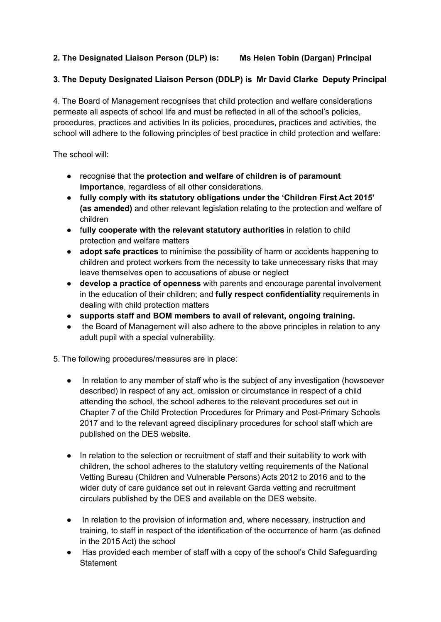## **2. The Designated Liaison Person (DLP) is: Ms Helen Tobin (Dargan) Principal**

## **3. The Deputy Designated Liaison Person (DDLP) is Mr David Clarke Deputy Principal**

4. The Board of Management recognises that child protection and welfare considerations permeate all aspects of school life and must be reflected in all of the school's policies, procedures, practices and activities In its policies, procedures, practices and activities, the school will adhere to the following principles of best practice in child protection and welfare:

The school will:

- recognise that the **protection and welfare of children is of paramount importance**, regardless of all other considerations.
- **fully comply with its statutory obligations under the 'Children First Act 2015' (as amended)** and other relevant legislation relating to the protection and welfare of children
- f**ully cooperate with the relevant statutory authorities** in relation to child protection and welfare matters
- **adopt safe practices** to minimise the possibility of harm or accidents happening to children and protect workers from the necessity to take unnecessary risks that may leave themselves open to accusations of abuse or neglect
- **develop a practice of openness** with parents and encourage parental involvement in the education of their children; and **fully respect confidentiality** requirements in dealing with child protection matters
- **supports staff and BOM members to avail of relevant, ongoing training.**
- the Board of Management will also adhere to the above principles in relation to any adult pupil with a special vulnerability.

5. The following procedures/measures are in place:

- In relation to any member of staff who is the subject of any investigation (howsoever described) in respect of any act, omission or circumstance in respect of a child attending the school, the school adheres to the relevant procedures set out in Chapter 7 of the Child Protection Procedures for Primary and Post-Primary Schools 2017 and to the relevant agreed disciplinary procedures for school staff which are published on the DES website.
- In relation to the selection or recruitment of staff and their suitability to work with children, the school adheres to the statutory vetting requirements of the National Vetting Bureau (Children and Vulnerable Persons) Acts 2012 to 2016 and to the wider duty of care guidance set out in relevant Garda vetting and recruitment circulars published by the DES and available on the DES website.
- In relation to the provision of information and, where necessary, instruction and training, to staff in respect of the identification of the occurrence of harm (as defined in the 2015 Act) the school
- Has provided each member of staff with a copy of the school's Child Safeguarding **Statement**